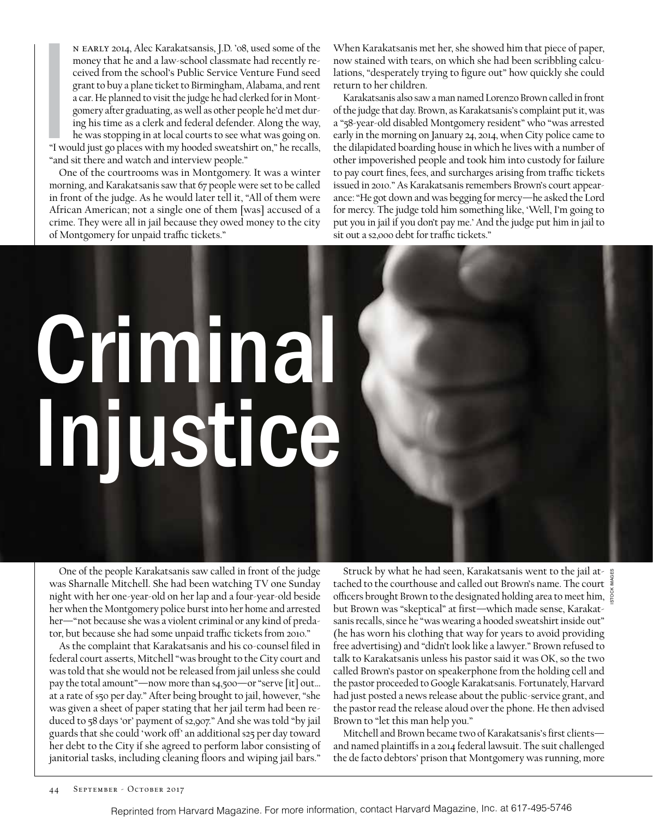IVE WE n early 2014, Alec Karakatsansis, J.D. '08, used some of the money that he and a law-school classmate had recently received from the school's Public Service Venture Fund seed grant to buy a plane ticket to Birmingham, Alabama, and rent a car. He planned to visit the judge he had clerked for in Montgomery after graduating, as well as other people he'd met during his time as a clerk and federal defender. Along the way, he was stopping in at local courts to see what was going on. "I would just go places with my hooded sweatshirt on," he recalls, "and sit there and watch and interview people."

One of the courtrooms was in Montgomery. It was a winter morning, and Karakatsanis saw that 67 people were set to be called in front of the judge. As he would later tell it, "All of them were African American; not a single one of them [was] accused of a crime. They were all in jail because they owed money to the city of Montgomery for unpaid traffic tickets."

When Karakatsanis met her, she showed him that piece of paper, now stained with tears, on which she had been scribbling calculations, "desperately trying to figure out" how quickly she could return to her children.

Karakatsanis also saw a man named Lorenzo Brown called in front of the judge that day. Brown, as Karakatsanis's complaint put it, was a "58-year-old disabled Montgomery resident" who "was arrested early in the morning on January 24, 2014, when City police came to the dilapidated boarding house in which he lives with a number of other impoverished people and took him into custody for failure to pay court fines, fees, and surcharges arising from traffic tickets issued in 2010." As Karakatsanis remembers Brown's court appearance: "He got down and was begging for mercy—he asked the Lord for mercy. The judge told him something like, 'Well, I'm going to put you in jail if you don't pay me.' And the judge put him in jail to sit out a \$2,000 debt for traffic tickets."

# Criminal Injustice

One of the people Karakatsanis saw called in front of the judge was Sharnalle Mitchell. She had been watching TV one Sunday night with her one-year-old on her lap and a four-year-old beside her when the Montgomery police burst into her home and arrested her—"not because she was a violent criminal or any kind of predator, but because she had some unpaid traffic tickets from 2010."

As the complaint that Karakatsanis and his co-counsel filed in federal court asserts, Mitchell "was brought to the City court and was told that she would not be released from jail unless she could pay the total amount"—now more than \$4,500—or "serve [it] out… at a rate of \$50 per day." After being brought to jail, however, "she was given a sheet of paper stating that her jail term had been reduced to 58 days 'or' payment of \$2,907." And she was told "by jail guards that she could 'work off' an additional \$25 per day toward her debt to the City if she agreed to perform labor consisting of janitorial tasks, including cleaning floors and wiping jail bars."

Struck by what he had seen, Karakatsanis went to the jail attached to the courthouse and called out Brown's name. The court officers brought Brown to the designated holding area to meet him, but Brown was "skeptical" at first—which made sense, Karakatsanis recalls, since he "was wearing a hooded sweatshirt inside out" (he has worn his clothing that way for years to avoid providing free advertising) and "didn't look like a lawyer." Brown refused to talk to Karakatsanis unless his pastor said it was OK, so the two called Brown's pastor on speakerphone from the holding cell and the pastor proceeded to Google Karakatsanis. Fortunately, Harvard had just posted a news release about the public-service grant, and the pastor read the release aloud over the phone. He then advised Brown to "let this man help you."

ISTOCK IMAGES

Mitchell and Brown became two of Karakatsanis's first clients and named plaintiffs in a 2014 federal lawsuit. The suit challenged the de facto debtors' prison that Montgomery was running, more

Reprinted from Harvard Magazine. For more information, contact Harvard Magazine, Inc. at 617-495-5746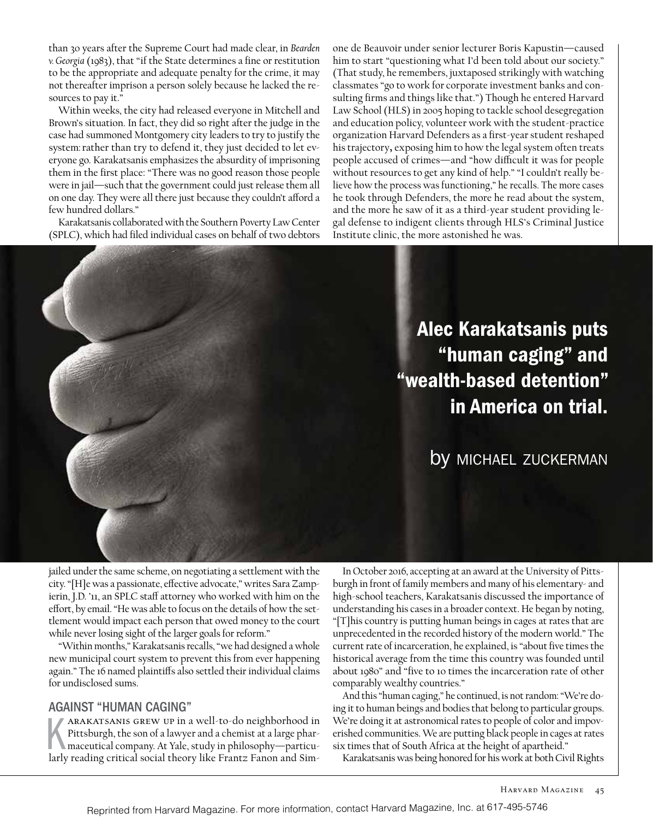than 30 years after the Supreme Court had made clear, in *Bearden v. Georgia* (1983), that "if the State determines a fine or restitution to be the appropriate and adequate penalty for the crime, it may not thereafter imprison a person solely because he lacked the resources to pay it."

Within weeks, the city had released everyone in Mitchell and Brown's situation. In fact, they did so right after the judge in the case had summoned Montgomery city leaders to try to justify the system: rather than try to defend it, they just decided to let everyone go. Karakatsanis emphasizes the absurdity of imprisoning them in the first place: "There was no good reason those people were in jail—such that the government could just release them all on one day. They were all there just because they couldn't afford a few hundred dollars."

Karakatsanis collaborated with the Southern Poverty Law Center (SPLC), which had filed individual cases on behalf of two debtors

one de Beauvoir under senior lecturer Boris Kapustin—caused him to start "questioning what I'd been told about our society." (That study, he remembers, juxtaposed strikingly with watching classmates "go to work for corporate investment banks and consulting firms and things like that.") Though he entered Harvard Law School (HLS) in 2005 hoping to tackle school desegregation and education policy, volunteer work with the student-practice organization Harvard Defenders as a first-year student reshaped his trajectory, exposing him to how the legal system often treats people accused of crimes—and "how difficult it was for people without resources to get any kind of help." "I couldn't really believe how the process was functioning," he recalls. The more cases he took through Defenders, the more he read about the system, and the more he saw of it as a third-year student providing legal defense to indigent clients through HLS's Criminal Justice Institute clinic, the more astonished he was.



jailed under the same scheme, on negotiating a settlement with the city. "[H]e was a passionate, effective advocate," writes Sara Zampierin, J.D. '11, an SPLC staff attorney who worked with him on the effort, by email. "He was able to focus on the details of how the settlement would impact each person that owed money to the court while never losing sight of the larger goals for reform."

"Within months," Karakatsanis recalls, "we had designed a whole new municipal court system to prevent this from ever happening again." The 16 named plaintiffs also settled their individual claims for undisclosed sums.

#### AGAINST "HUMAN CAGING"

ARAKATSANIS GREW UP in a well-to-do neighborhood in<br>Pittsburgh, the son of a lawyer and a chemist at a large phar-<br>maceutical company. At Yale, study in philosophy—particu-<br>larly reading critical social theory like Frantz arakatsanis grew up in a well-to-do neighborhood in Pittsburgh, the son of a lawyer and a chemist at a large pharmaceutical company. At Yale, study in philosophy—particu-

In October 2016, accepting at an award at the University of Pittsburgh in front of family members and many of his elementary- and high-school teachers, Karakatsanis discussed the importance of understanding his cases in a broader context. He began by noting, "[T]his country is putting human beings in cages at rates that are unprecedented in the recorded history of the modern world." The current rate of incarceration, he explained, is "about five times the historical average from the time this country was founded until about 1980" and "five to 10 times the incarceration rate of other comparably wealthy countries."

And this "human caging," he continued, is not random: "We're doing it to human beings and bodies that belong to particular groups. We're doing it at astronomical rates to people of color and impoverished communities. We are putting black people in cages at rates six times that of South Africa at the height of apartheid."

Karakatsanis was being honored for his work at both Civil Rights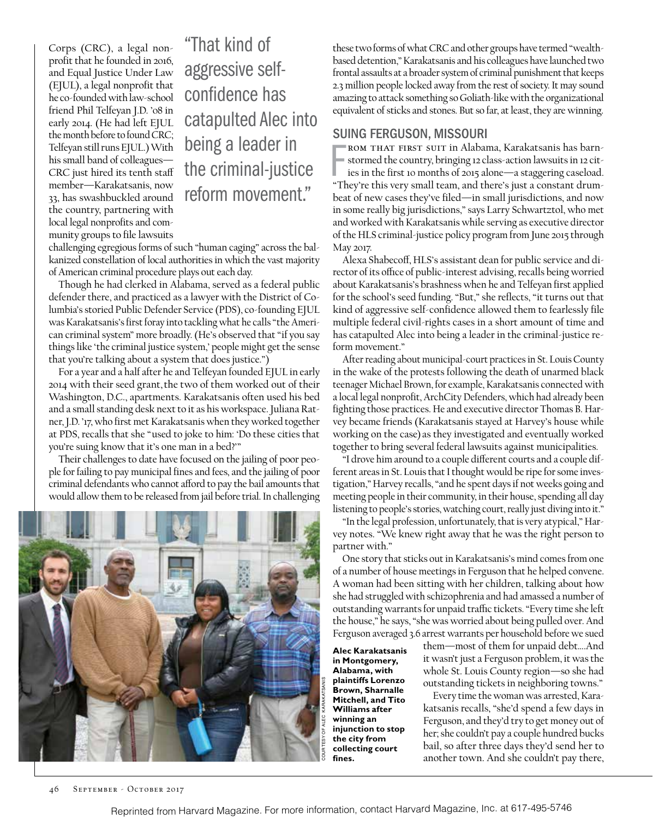Corps (CRC), a legal nonprofit that he founded in 2016, and Equal Justice Under Law (EJUL), a legal nonprofit that he co-founded with law-school friend Phil Telfeyan J.D. '08 in early 2014. (He had left EJUL the month before to found CRC; Telfeyan still runs EJUL.) With his small band of colleagues— CRC just hired its tenth staff member—Karakatsanis, now 33, has swashbuckled around the country, partnering with local legal nonprofits and community groups to file lawsuits

"That kind of aggressive selfconfidence has catapulted Alec into being a leader in the criminal-justice reform movement."

challenging egregious forms of such "human caging" across the balkanized constellation of local authorities in which the vast majority of American criminal procedure plays out each day.

Though he had clerked in Alabama, served as a federal public defender there, and practiced as a lawyer with the District of Columbia's storied Public Defender Service (PDS), co-founding EJUL was Karakatsanis's first foray into tackling what he calls "the American criminal system" more broadly. (He's observed that "if you say things like 'the criminal justice system,' people might get the sense that you're talking about a system that does justice.")

For a year and a half after he and Telfeyan founded EJUL in early 2014 with their seed grant, the two of them worked out of their Washington, D.C., apartments. Karakatsanis often used his bed and a small standing desk next to it as his workspace. Juliana Ratner, J.D. '17, who first met Karakatsanis when they worked together at PDS, recalls that she "used to joke to him: 'Do these cities that you're suing know that it's one man in a bed?'"

Their challenges to date have focused on the jailing of poor people for failing to pay municipal fines and fees, and the jailing of poor criminal defendants who cannot afford to pay the bail amounts that would allow them to be released from jail before trial. In challenging



these two forms of what CRC and other groups have termed "wealthbased detention," Karakatsanis and his colleagues have launched two frontal assaults at a broader system of criminal punishment that keeps 2.3 million people locked away from the rest of society. It may sound amazing to attack something so Goliath-like with the organizational equivalent of sticks and stones. But so far, at least, they are winning.

#### SUING FERGUSON, MISSOURI

FROM THAT FIRST SUIT in Alabama, Karakatsanis has barn-<br>stormed the country, bringing 12 class-action lawsuits in 12 cit-<br>ies in the first 10 months of 2015 alone—a staggering caseload.<br>"They're this very small team, and t rom that first suit in Alabama, Karakatsanis has barnstormed the country, bringing 12 class-action lawsuits in 12 cities in the first 10 months of 2015 alone—a staggering caseload. beat of new cases they've filed—in small jurisdictions, and now in some really big jurisdictions," says Larry Schwartztol, who met and worked with Karakatsanis while serving as executive director of the HLS criminal-justice policy program from June 2015 through May 2017.

Alexa Shabecoff, HLS's assistant dean for public service and director of its office of public-interest advising, recalls being worried about Karakatsanis's brashness when he and Telfeyan first applied for the school's seed funding. "But," she reflects, "it turns out that kind of aggressive self-confidence allowed them to fearlessly file multiple federal civil-rights cases in a short amount of time and has catapulted Alec into being a leader in the criminal-justice reform movement."

After reading about municipal-court practices in St. Louis County in the wake of the protests following the death of unarmed black teenager Michael Brown, for example, Karakatsanis connected with a local legal nonprofit, ArchCity Defenders, which had already been fighting those practices. He and executive director Thomas B. Harvey became friends (Karakatsanis stayed at Harvey's house while working on the case) as they investigated and eventually worked together to bring several federal lawsuits against municipalities.

"I drove him around to a couple different courts and a couple different areas in St. Louis that I thought would be ripe for some investigation," Harvey recalls, "and he spent days if not weeks going and meeting people in their community, in their house, spending all day listening to people's stories, watching court, really just diving into it."

"In the legal profession, unfortunately, that is very atypical," Harvey notes. "We knew right away that he was the right person to partner with."

One story that sticks out in Karakatsanis's mind comes from one of a number of house meetings in Ferguson that he helped convene. A woman had been sitting with her children, talking about how she had struggled with schizophrenia and had amassed a number of outstanding warrants for unpaid traffic tickets. "Every time she left the house," he says, "she was worried about being pulled over. And Ferguson averaged 3.6 arrest warrants per household before we sued

**Alec Karakatsanis in Montgomery, Alabama, with plaintiffs Lorenzo Brown, Sharnalle Mitchell, and Tito Williams after winning an injunction to stop the city from collecting court fines.** 

them—most of them for unpaid debt….And it wasn't just a Ferguson problem, it was the whole St. Louis County region—so she had outstanding tickets in neighboring towns."

Every time the woman was arrested, Karakatsanis recalls, "she'd spend a few days in Ferguson, and they'd try to get money out of her; she couldn't pay a couple hundred bucks bail, so after three days they'd send her to another town. And she couldn't pay there,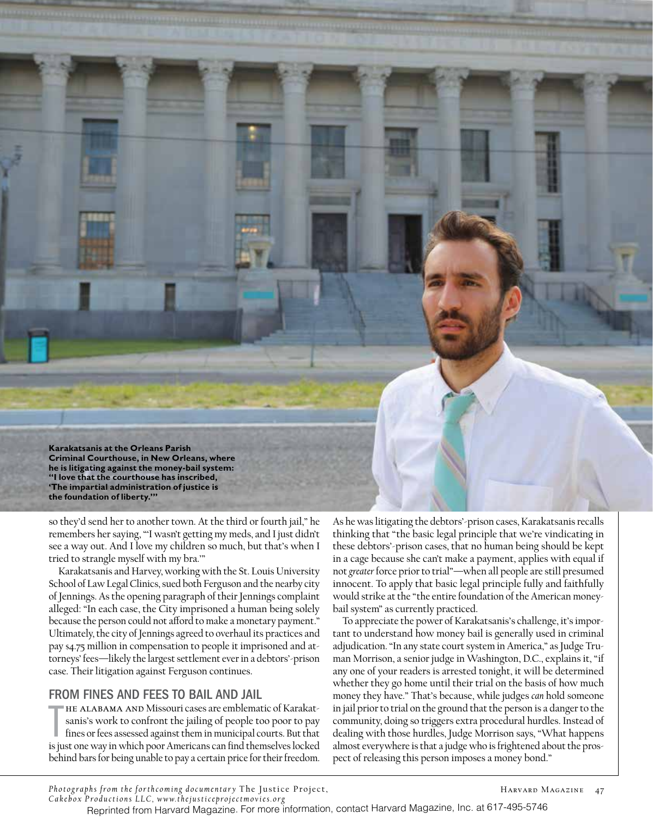**Karakatsanis at the Orleans Parish Criminal Courthouse, in New Orleans, where he is litigating against the money-bail system: "I love that the courthouse has inscribed, 'The impartial administration of justice is the foundation of liberty.'"**

so they'd send her to another town. At the third or fourth jail," he remembers her saying, "'I wasn't getting my meds, and I just didn't see a way out. And I love my children so much, but that's when I tried to strangle myself with my bra.'"

Karakatsanis and Harvey, working with the St. Louis University School of Law Legal Clinics, sued both Ferguson and the nearby city of Jennings. As the opening paragraph of their Jennings complaint alleged: "In each case, the City imprisoned a human being solely because the person could not afford to make a monetary payment." Ultimately, the city of Jennings agreed to overhaul its practices and pay \$4.75 million in compensation to people it imprisoned and attorneys' fees—likely the largest settlement ever in a debtors'-prison case. Their litigation against Ferguson continues.

#### FROM FINES AND FEES TO BAIL AND JAIL

THE ALABAMA AND Missouri cases are emblematic of Karakatsanis's work to confront the jailing of people too poor to pay fines or fees assessed against them in municipal courts. But that is just one way in which poor America he Alabama and Missouri cases are emblematic of Karakatsanis's work to confront the jailing of people too poor to pay fines or fees assessed against them in municipal courts. But that behind bars for being unable to pay a certain price for their freedom.

As he was litigating the debtors'-prison cases, Karakatsanis recalls thinking that "the basic legal principle that we're vindicating in these debtors'-prison cases, that no human being should be kept in a cage because she can't make a payment, applies with equal if not *greater* force prior to trial"—when all people are still presumed innocent. To apply that basic legal principle fully and faithfully would strike at the "the entire foundation of the American moneybail system" as currently practiced.

To appreciate the power of Karakatsanis's challenge, it's important to understand how money bail is generally used in criminal adjudication. "In any state court system in America," as Judge Truman Morrison, a senior judge in Washington, D.C., explains it, "if any one of your readers is arrested tonight, it will be determined whether they go home until their trial on the basis of how much money they have." That's because, while judges *can* hold someone in jail prior to trial on the ground that the person is a danger to the community, doing so triggers extra procedural hurdles. Instead of dealing with those hurdles, Judge Morrison says, "What happens almost everywhere is that a judge who is frightened about the prospect of releasing this person imposes a money bond."

*Photographs from the forthcoming documentary* The Justice Project, *Cakebox Productions LLC, www.thejusticeprojectmovies.org*

Reprinted from Harvard Magazine. For more information, contact Harvard Magazine, Inc. at 617-495-5746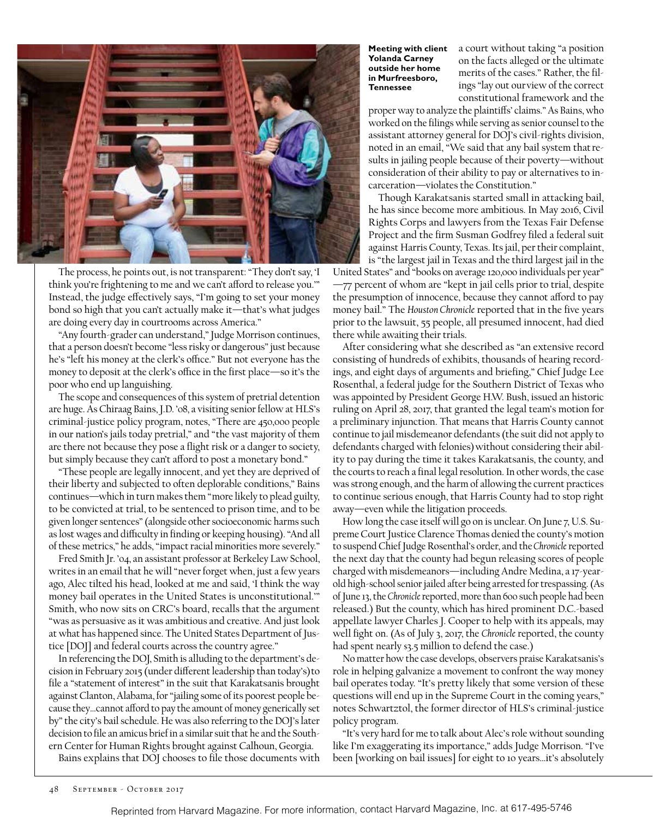

The process, he points out, is not transparent: "They don't say, 'I think you're frightening to me and we can't afford to release you.'" Instead, the judge effectively says, "I'm going to set your money bond so high that you can't actually make it—that's what judges are doing every day in courtrooms across America."

"Any fourth-grader can understand," Judge Morrison continues, that a person doesn't become "less risky or dangerous" just because he's "left his money at the clerk's office." But not everyone has the money to deposit at the clerk's office in the first place—so it's the poor who end up languishing.

The scope and consequences of this system of pretrial detention are huge. As Chiraag Bains, J.D. '08, a visiting senior fellow at HLS's criminal-justice policy program, notes, "There are 450,000 people in our nation's jails today pretrial," and "the vast majority of them are there not because they pose a flight risk or a danger to society, but simply because they can't afford to post a monetary bond."

"These people are legally innocent, and yet they are deprived of their liberty and subjected to often deplorable conditions," Bains continues—which in turn makes them "more likely to plead guilty, to be convicted at trial, to be sentenced to prison time, and to be given longer sentences" (alongside other socioeconomic harms such as lost wages and difficulty in finding or keeping housing). "And all of these metrics," he adds, "impact racial minorities more severely."

Fred Smith Jr. '04, an assistant professor at Berkeley Law School, writes in an email that he will "never forget when, just a few years ago, Alec tilted his head, looked at me and said, 'I think the way money bail operates in the United States is unconstitutional.'" Smith, who now sits on CRC's board, recalls that the argument "was as persuasive as it was ambitious and creative. And just look at what has happened since. The United States Department of Justice [DO]] and federal courts across the country agree."

In referencing the DOJ, Smith is alluding to the department's decision in February 2015 (under different leadership than today's) to file a "statement of interest" in the suit that Karakatsanis brought against Clanton, Alabama, for "jailing some of its poorest people because they…cannot afford to pay the amount of money generically set by" the city's bail schedule. He was also referring to the DOJ's later decision to file an amicus brief in a similar suit that he and the Southern Center for Human Rights brought against Calhoun, Georgia.

Bains explains that DOJ chooses to file those documents with

**Meeting with client Yolanda Carney outside her home in Murfreesboro, Tennessee**

a court without taking "a position on the facts alleged or the ultimate merits of the cases." Rather, the filings "lay out our view of the correct constitutional framework and the

proper way to analyze the plaintiffs' claims." As Bains, who worked on the filings while serving as senior counsel to the assistant attorney general for DOJ's civil-rights division, noted in an email, "We said that any bail system that results in jailing people because of their poverty—without consideration of their ability to pay or alternatives to incarceration—violates the Constitution."

Though Karakatsanis started small in attacking bail, he has since become more ambitious. In May 2016, Civil Rights Corps and lawyers from the Texas Fair Defense Project and the firm Susman Godfrey filed a federal suit against Harris County, Texas. Its jail, per their complaint, is "the largest jail in Texas and the third largest jail in the

United States" and "books on average 120,000 individuals per year" —77 percent of whom are "kept in jail cells prior to trial, despite the presumption of innocence, because they cannot afford to pay money bail." The *Houston Chronicle* reported that in the five years prior to the lawsuit, 55 people, all presumed innocent, had died there while awaiting their trials.

After considering what she described as "an extensive record consisting of hundreds of exhibits, thousands of hearing recordings, and eight days of arguments and briefing," Chief Judge Lee Rosenthal, a federal judge for the Southern District of Texas who was appointed by President George H.W. Bush, issued an historic ruling on April 28, 2017, that granted the legal team's motion for a preliminary injunction. That means that Harris County cannot continue to jail misdemeanor defendants (the suit did not apply to defendants charged with felonies) without considering their ability to pay during the time it takes Karakatsanis, the county, and the courts to reach a final legal resolution. In other words, the case was strong enough, and the harm of allowing the current practices to continue serious enough, that Harris County had to stop right away—even while the litigation proceeds.

How long the case itself will go on is unclear. On June 7, U.S. Supreme Court Justice Clarence Thomas denied the county's motion to suspend Chief Judge Rosenthal's order, and the *Chronicle*reported the next day that the county had begun releasing scores of people charged with misdemeanors—including Andre Medina, a 17-yearold high-school senior jailed after being arrested for trespassing. (As of June 13, the *Chronicle*reported, more than 600 such people had been released.) But the county, which has hired prominent D.C.-based appellate lawyer Charles J. Cooper to help with its appeals, may well fight on. (As of July 3, 2017, the *Chronicle* reported, the county had spent nearly \$3.5 million to defend the case.)

No matter how the case develops, observers praise Karakatsanis's role in helping galvanize a movement to confront the way money bail operates today. "It's pretty likely that some version of these questions will end up in the Supreme Court in the coming years," notes Schwartztol, the former director of HLS's criminal-justice policy program.

"It's very hard for me to talk about Alec's role without sounding like I'm exaggerating its importance," adds Judge Morrison. "I've been [working on bail issues] for eight to 10 years…it's absolutely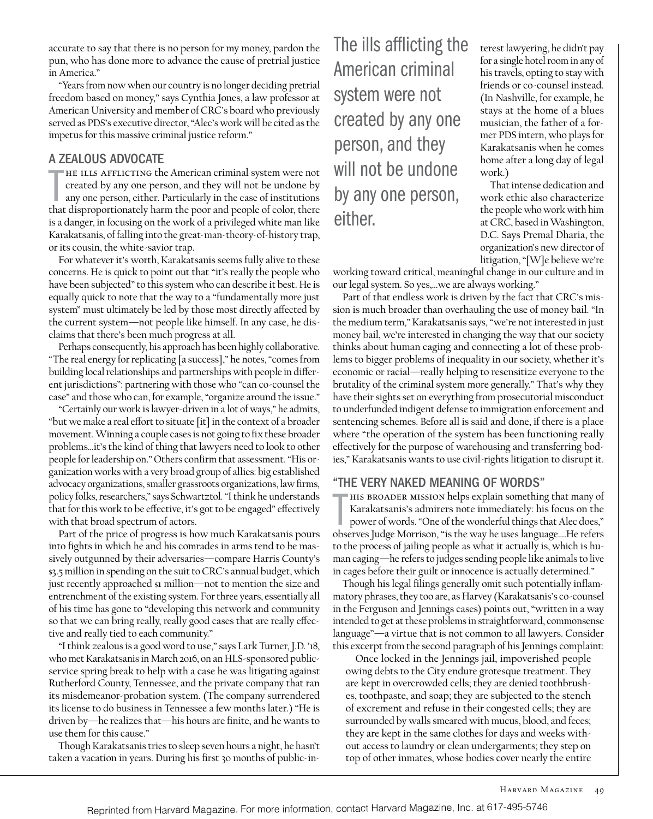accurate to say that there is no person for my money, pardon the pun, who has done more to advance the cause of pretrial justice in America."

"Years from now when our country is no longer deciding pretrial freedom based on money," says Cynthia Jones, a law professor at American University and member of CRC's board who previously served as PDS's executive director, "Alec's work will be cited as the impetus for this massive criminal justice reform."

#### A ZEALOUS ADVOCATE

THE ILLS AFFLICTING the American criminal system were not created by any one person, and they will not be undone by any one person, either. Particularly in the case of institutions that disproportionately harm the poor and  $\blacksquare$ HE ILLS AFFLICTING the American criminal system were not created by any one person, and they will not be undone by any one person, either. Particularly in the case of institutions is a danger, in focusing on the work of a privileged white man like Karakatsanis, of falling into the great-man-theory-of-history trap, or its cousin, the white-savior trap.

For whatever it's worth, Karakatsanis seems fully alive to these concerns. He is quick to point out that "it's really the people who have been subjected" to this system who can describe it best. He is equally quick to note that the way to a "fundamentally more just system" must ultimately be led by those most directly affected by the current system—not people like himself. In any case, he disclaims that there's been much progress at all.

Perhaps consequently, his approach has been highly collaborative. "The real energy for replicating [a success]," he notes, "comes from building local relationships and partnerships with people in different jurisdictions": partnering with those who "can co-counsel the case" and those who can, for example, "organize around the issue."

"Certainly our work is lawyer-driven in a lot of ways," he admits, "but we make a real effort to situate [it] in the context of a broader movement. Winning a couple cases is not going to fix these broader problems…it's the kind of thing that lawyers need to look to other people for leadership on." Others confirm that assessment. "His organization works with a very broad group of allies: big established advocacy organizations, smaller grassroots organizations, law firms, policy folks, researchers," says Schwartztol. "I think he understands that for this work to be effective, it's got to be engaged" effectively with that broad spectrum of actors.

Part of the price of progress is how much Karakatsanis pours into fights in which he and his comrades in arms tend to be massively outgunned by their adversaries—compare Harris County's \$3.5 million in spending on the suit to CRC's annual budget, which just recently approached  $\sin$  million—not to mention the size and entrenchment of the existing system. For three years, essentially all of his time has gone to "developing this network and community so that we can bring really, really good cases that are really effective and really tied to each community."

"I think zealous is a good word to use," says Lark Turner, J.D. '18, who met Karakatsanis in March 2016, on an HLS-sponsored publicservice spring break to help with a case he was litigating against Rutherford County, Tennessee, and the private company that ran its misdemeanor-probation system. (The company surrendered its license to do business in Tennessee a few months later.) "He is driven by—he realizes that—his hours are finite, and he wants to use them for this cause."

Though Karakatsanis tries to sleep seven hours a night, he hasn't taken a vacation in years. During his first 30 months of public-in-

The ills afflicting the American criminal system were not created by any one person, and they will not be undone by any one person, either.

terest lawyering, he didn't pay for a single hotel room in any of his travels, opting to stay with friends or co-counsel instead. (In Nashville, for example, he stays at the home of a blues musician, the father of a former PDS intern, who plays for Karakatsanis when he comes home after a long day of legal work.)

That intense dedication and work ethic also characterize the people who work with him at CRC, based in Washington, D.C. Says Premal Dharia, the organization's new director of litigation, "[W]e believe we're

working toward critical, meaningful change in our culture and in our legal system. So yes,…we are always working."

Part of that endless work is driven by the fact that CRC's mission is much broader than overhauling the use of money bail. "In the medium term," Karakatsanis says, "we're not interested in just money bail, we're interested in changing the way that our society thinks about human caging and connecting a lot of these problems to bigger problems of inequality in our society, whether it's economic or racial—really helping to resensitize everyone to the brutality of the criminal system more generally." That's why they have their sights set on everything from prosecutorial misconduct to underfunded indigent defense to immigration enforcement and sentencing schemes. Before all is said and done, if there is a place where "the operation of the system has been functioning really effectively for the purpose of warehousing and transferring bodies," Karakatsanis wants to use civil-rights litigation to disrupt it.

#### "THE VERY NAKED MEANING OF WORDS"

Karakatsanis's admirers note immediately: his focus on the

HIS BROADER MISSION helps explain something that many of<br>Karakatsanis's admirers note immediately: his focus on the<br>power of words. "One of the wonderful things that Alec does,"<br>observes Judge Morrison, "is the way be uses power of words. "One of the wonderful things that Alec does," observes Judge Morrison, "is the way he uses language….He refers to the process of jailing people as what it actually is, which is human caging—he refers to judges sending people like animals to live in cages before their guilt or innocence is actually determined."

Though his legal filings generally omit such potentially inflammatory phrases, they too are, as Harvey (Karakatsanis's co-counsel in the Ferguson and Jennings cases) points out, "written in a way intended to get at these problems in straightforward, commonsense language"—a virtue that is not common to all lawyers. Consider this excerpt from the second paragraph of his Jennings complaint:

Once locked in the Jennings jail, impoverished people owing debts to the City endure grotesque treatment. They are kept in overcrowded cells; they are denied toothbrushes, toothpaste, and soap; they are subjected to the stench of excrement and refuse in their congested cells; they are surrounded by walls smeared with mucus, blood, and feces; they are kept in the same clothes for days and weeks without access to laundry or clean undergarments; they step on top of other inmates, whose bodies cover nearly the entire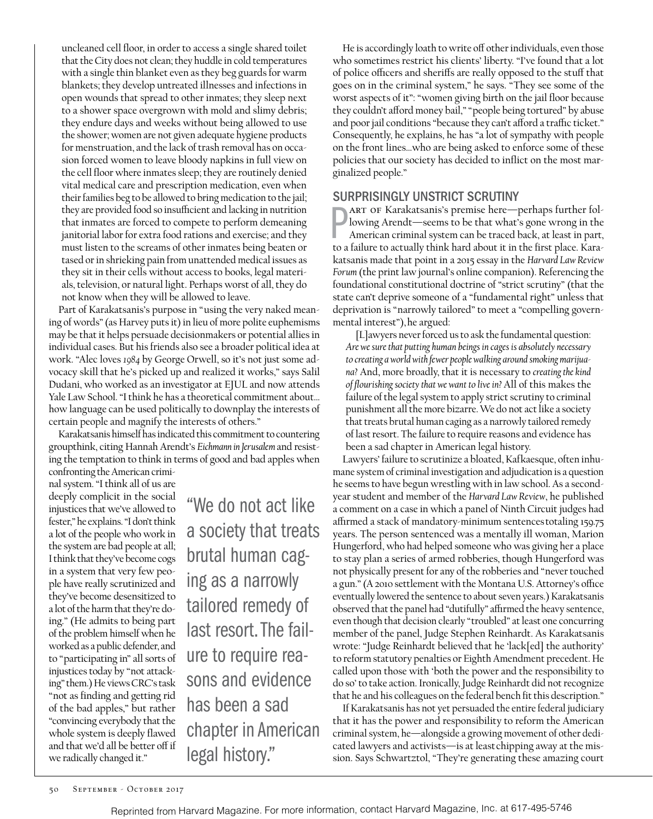nal system. "I think all of us are deeply complicit in the social injustices that we've allowed to

fester," he explains. "I don't think a lot of the people who work in the system are bad people at all; I think that they've become cogs in a system that very few people have really scrutinized and they've become desensitized to a lot of the harm that they're doing." (He admits to being part of the problem himself when he worked as a public defender, and to "participating in" all sorts of injustices today by "not attacking" them.) He views CRC's task "not as finding and getting rid of the bad apples," but rather "convincing everybody that the whole system is deeply flawed and that we'd all be better off if ing as a narrowly ure to require reahas been a sad legal history."

"We do not act like a society that treats brutal human cagtailored remedy of last resort. The failsons and evidence chapter in American

that inmates are forced to compete to perform demeaning janitorial labor for extra food rations and exercise; and they must listen to the screams of other inmates being beaten or tased or in shrieking pain from unattended medical issues as they sit in their cells without access to books, legal materials, television, or natural light. Perhaps worst of all, they do not know when they will be allowed to leave. Part of Karakatsanis's purpose in "using the very naked mean-

ing of words" (as Harvey puts it) in lieu of more polite euphemisms may be that it helps persuade decisionmakers or potential allies in individual cases. But his friends also see a broader political idea at work. "Alec loves *1984* by George Orwell, so it's not just some advocacy skill that he's picked up and realized it works," says Salil Dudani, who worked as an investigator at EJUL and now attends Yale Law School. "I think he has a theoretical commitment about… how language can be used politically to downplay the interests of certain people and magnify the interests of others."

Karakatsanis himself has indicated this commitment to countering groupthink, citing Hannah Arendt's *Eichmann in Jerusalem* and resisting the temptation to think in terms of good and bad apples when confronting the American crimi-

uncleaned cell floor, in order to access a single shared toilet that the City does not clean; they huddle in cold temperatures with a single thin blanket even as they beg guards for warm blankets; they develop untreated illnesses and infections in open wounds that spread to other inmates; they sleep next to a shower space overgrown with mold and slimy debris; they endure days and weeks without being allowed to use the shower; women are not given adequate hygiene products for menstruation, and the lack of trash removal has on occasion forced women to leave bloody napkins in full view on the cell floor where inmates sleep; they are routinely denied vital medical care and prescription medication, even when their families beg to be allowed to bring medication to the jail; they are provided food so insufficient and lacking in nutrition

He is accordingly loath to write off other individuals, even those who sometimes restrict his clients' liberty. "I've found that a lot of police officers and sheriffs are really opposed to the stuff that goes on in the criminal system," he says. "They see some of the worst aspects of it": "women giving birth on the jail floor because they couldn't afford money bail," "people being tortured" by abuse and poor jail conditions "because they can't afford a traffic ticket." Consequently, he explains, he has "a lot of sympathy with people on the front lines…who are being asked to enforce some of these policies that our society has decided to inflict on the most marginalized people."

### SURPRISINGLY UNSTRICT SCRUTINY

**PART OF Karakatsanis's premise here—perhaps further following Arendt—seems to be that what's gone wrong in the American criminal system can be traced back, at least in part, to a failure to actually think hard about it in** art of Karakatsanis's premise here—perhaps further following Arendt—seems to be that what's gone wrong in the American criminal system can be traced back, at least in part, katsanis made that point in a 2015 essay in the *Harvard Law Review Forum* (the print law journal's online companion). Referencing the foundational constitutional doctrine of "strict scrutiny" (that the state can't deprive someone of a "fundamental right" unless that deprivation is "narrowly tailored" to meet a "compelling governmental interest"), he argued:

[L]awyers never forced us to ask the fundamental question: *Are we sure that putting human beings in cages is absolutely necessary to creating a world with fewer people walking around smoking marijuana?* And, more broadly, that it is necessary to *creating the kind of flourishing society that we want to live in?* All of this makes the failure of the legal system to apply strict scrutiny to criminal punishment all the more bizarre. We do not act like a society that treats brutal human caging as a narrowly tailored remedy of last resort. The failure to require reasons and evidence has been a sad chapter in American legal history.

Lawyers' failure to scrutinize a bloated, Kafkaesque, often inhumane system of criminal investigation and adjudication is a question he seems to have begun wrestling with in law school. As a secondyear student and member of the *Harvard Law Review*, he published a comment on a case in which a panel of Ninth Circuit judges had affirmed a stack of mandatory-minimum sentences totaling 159.75 years. The person sentenced was a mentally ill woman, Marion Hungerford, who had helped someone who was giving her a place to stay plan a series of armed robberies, though Hungerford was not physically present for any of the robberies and "never touched a gun." (A 2010 settlement with the Montana U.S. Attorney's office eventually lowered the sentence to about seven years.) Karakatsanis observed that the panel had "dutifully" affirmed the heavy sentence, even though that decision clearly "troubled" at least one concurring member of the panel, Judge Stephen Reinhardt. As Karakatsanis wrote: "Judge Reinhardt believed that he 'lack[ed] the authority' to reform statutory penalties or Eighth Amendment precedent. He called upon those with 'both the power and the responsibility to do so' to take action. Ironically, Judge Reinhardt did not recognize that he and his colleagues on the federal bench fit this description."

If Karakatsanis has not yet persuaded the entire federal judiciary that it has the power and responsibility to reform the American criminal system, he—alongside a growing movement of other dedicated lawyers and activists—is at least chipping away at the mission. Says Schwartztol, "They're generating these amazing court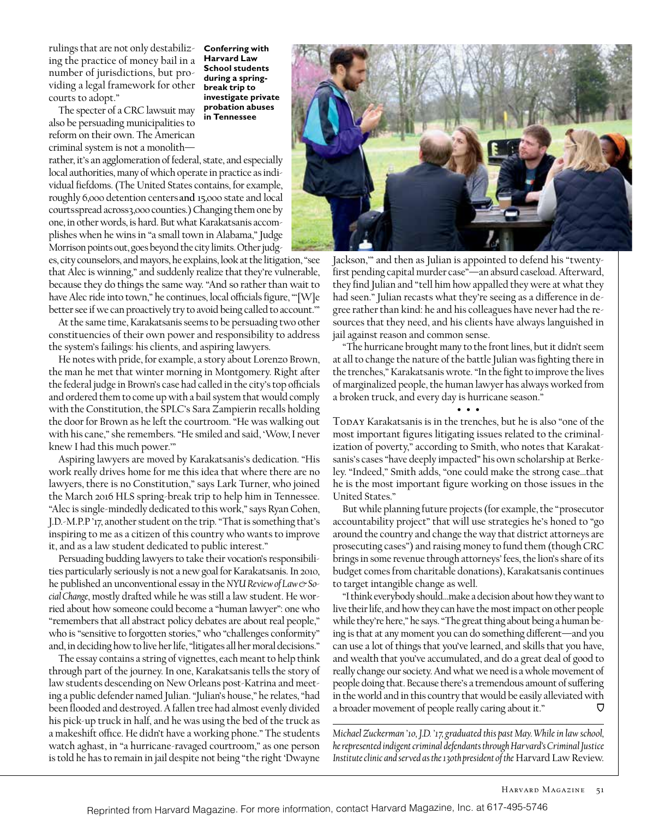rulings that are not only destabilizing the practice of money bail in a number of jurisdictions, but providing a legal framework for other courts to adopt."

The specter of a CRC lawsuit may also be persuading municipalities to reform on their own. The American criminal system is not a monolith—

rather, it's an agglomeration of federal, state, and especially local authorities, many of which operate in practice as individual fiefdoms. (The United States contains, for example, roughly 6,000 detention centers **and** 15,000 state and local courtsspread across3,000 counties.) Changing them one by one, in other words, is hard. But what Karakatsanis accomplishes when he wins in "a small town in Alabama," Judge Morrison points out, goes beyond the city limits. Other judg-

es, city counselors, and mayors, he explains, look at the litigation, "see that Alec is winning," and suddenly realize that they're vulnerable, because they do things the same way. "And so rather than wait to have Alec ride into town," he continues, local officials figure, "'[W]e better see if we can proactively try to avoid being called to account.'"

**Conferring with Harvard Law School students during a springbreak trip to investigate private probation abuses in Tennessee**

At the same time, Karakatsanis seems to be persuading two other constituencies of their own power and responsibility to address the system's failings: his clients, and aspiring lawyers.

He notes with pride, for example, a story about Lorenzo Brown, the man he met that winter morning in Montgomery. Right after the federal judge in Brown's case had called in the city's top officials and ordered them to come up with a bail system that would comply with the Constitution, the SPLC's Sara Zampierin recalls holding the door for Brown as he left the courtroom. "He was walking out with his cane," she remembers. "He smiled and said, 'Wow, I never knew I had this much power.'"

Aspiring lawyers are moved by Karakatsanis's dedication. "His work really drives home for me this idea that where there are no lawyers, there is no Constitution," says Lark Turner, who joined the March 2016 HLS spring-break trip to help him in Tennessee. "Alec is single-mindedly dedicated to this work," says Ryan Cohen, J.D.-M.P.P '17, another student on the trip. "That is something that's inspiring to me as a citizen of this country who wants to improve it, and as a law student dedicated to public interest."

Persuading budding lawyers to take their vocation's responsibilities particularly seriously is not a new goal for Karakatsanis. In 2010, he published an unconventional essay in the *NYU Review of Law & So cial Change*, mostly drafted while he was still a law student. He worried about how someone could become a "human lawyer": one who "remembers that all abstract policy debates are about real people," who is "sensitive to forgotten stories," who "challenges conformity" and, in deciding how to live her life, "litigates all her moral decisions."

The essay contains a string of vignettes, each meant to help think through part of the journey. In one, Karakatsanis tells the story of law students descending on New Orleans post-Katrina and meeting a public defender named Julian. "Julian's house," he relates, "had been flooded and destroyed. A fallen tree had almost evenly divided his pick-up truck in half, and he was using the bed of the truck as a makeshift office. He didn't have a working phone." The students watch aghast, in "a hurricane-ravaged courtroom," as one person is told he has to remain in jail despite not being "the right 'Dwayne



Jackson,'" and then as Julian is appointed to defend his "twentyfirst pending capital murder case"—an absurd caseload. Afterward, they find Julian and "tell him how appalled they were at what they had seen." Julian recasts what they're seeing as a difference in degree rather than kind: he and his colleagues have never had the resources that they need, and his clients have always languished in jail against reason and common sense.

"The hurricane brought many to the front lines, but it didn't seem at all to change the nature of the battle Julian was fighting there in the trenches," Karakatsanis wrote. "In the fight to improve the lives of marginalized people, the human lawyer has always worked from a broken truck, and every day is hurricane season."

• • •

TODAY Karakatsanis is in the trenches, but he is also "one of the most important figures litigating issues related to the criminalization of poverty," according to Smith, who notes that Karakatsanis's cases "have deeply impacted" his own scholarship at Berkeley. "Indeed," Smith adds, "one could make the strong case…that he is the most important figure working on those issues in the United States."

But while planning future projects (for example, the "prosecutor accountability project" that will use strategies he's honed to "go around the country and change the way that district attorneys are prosecuting cases") and raising money to fund them (though CRC brings in some revenue through attorneys' fees, the lion's share of its budget comes from charitable donations), Karakatsanis continues to target intangible change as well.

"I think everybody should…make a decision about how they want to live their life, and how they can have the most impact on other people while they're here," he says. "The great thing about being a human being is that at any moment you can do something different—and you can use a lot of things that you've learned, and skills that you have, and wealth that you've accumulated, and do a great deal of good to really change our society. And what we need is a whole movement of people doing that. Because there's a tremendous amount of suffering in the world and in this country that would be easily alleviated with a broader movement of people really caring about it."

*Michael Zuckerman '10, J.D. '17, graduated this past May. While in law school, he represented indigent criminal defendants through Harvard's Criminal Justice Institute clinic and served as the 130th president of the* Harvard Law Review.